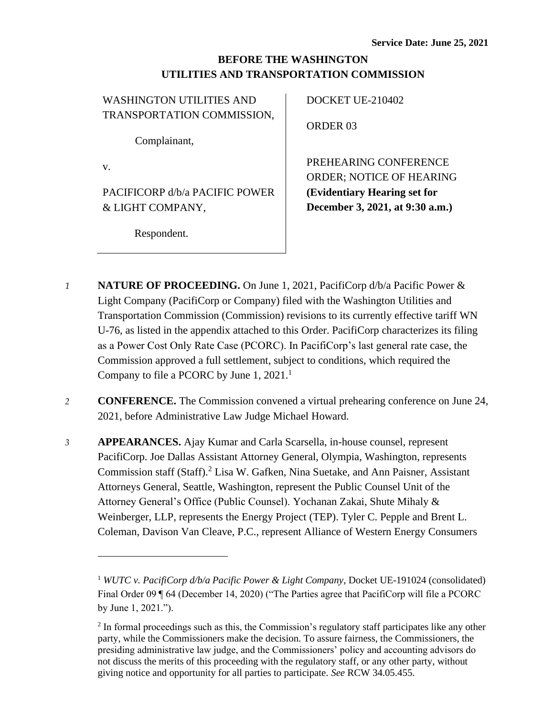## **BEFORE THE WASHINGTON UTILITIES AND TRANSPORTATION COMMISSION**

| <b>WASHINGTON UTILITIES AND</b> | DOCKET UE-210402                |
|---------------------------------|---------------------------------|
| TRANSPORTATION COMMISSION,      |                                 |
|                                 | <b>ORDER 03</b>                 |
| Complainant,                    |                                 |
| V.                              | PREHEARING CONFERENCE           |
|                                 | <b>ORDER: NOTICE OF HEARING</b> |
| PACIFICORP d/b/a PACIFIC POWER  | (Evidentiary Hearing set for    |
| & LIGHT COMPANY,                | December 3, 2021, at 9:30 a.m.) |
|                                 |                                 |
| Respondent.                     |                                 |

- *1* **NATURE OF PROCEEDING.** On June 1, 2021, PacifiCorp d/b/a Pacific Power & Light Company (PacifiCorp or Company) filed with the Washington Utilities and Transportation Commission (Commission) revisions to its currently effective tariff WN U-76, as listed in the appendix attached to this Order. PacifiCorp characterizes its filing as a Power Cost Only Rate Case (PCORC). In PacifiCorp's last general rate case, the Commission approved a full settlement, subject to conditions, which required the Company to file a PCORC by June 1,  $2021$ .<sup>1</sup>
- *2* **CONFERENCE.** The Commission convened a virtual prehearing conference on June 24, 2021, before Administrative Law Judge Michael Howard.
- *3* **APPEARANCES.** Ajay Kumar and Carla Scarsella, in-house counsel, represent PacifiCorp. Joe Dallas Assistant Attorney General, Olympia, Washington, represents Commission staff (Staff).<sup>2</sup> Lisa W. Gafken, Nina Suetake, and Ann Paisner, Assistant Attorneys General, Seattle, Washington, represent the Public Counsel Unit of the Attorney General's Office (Public Counsel). Yochanan Zakai, Shute Mihaly & Weinberger, LLP, represents the Energy Project (TEP). Tyler C. Pepple and Brent L. Coleman, Davison Van Cleave, P.C., represent Alliance of Western Energy Consumers

<sup>1</sup> *WUTC v. PacifiCorp d/b/a Pacific Power & Light Company*, Docket UE-191024 (consolidated) Final Order 09 ¶ 64 (December 14, 2020) ("The Parties agree that PacifiCorp will file a PCORC by June 1, 2021.").

 $2$  In formal proceedings such as this, the Commission's regulatory staff participates like any other party, while the Commissioners make the decision. To assure fairness, the Commissioners, the presiding administrative law judge, and the Commissioners' policy and accounting advisors do not discuss the merits of this proceeding with the regulatory staff, or any other party, without giving notice and opportunity for all parties to participate. *See* RCW 34.05.455.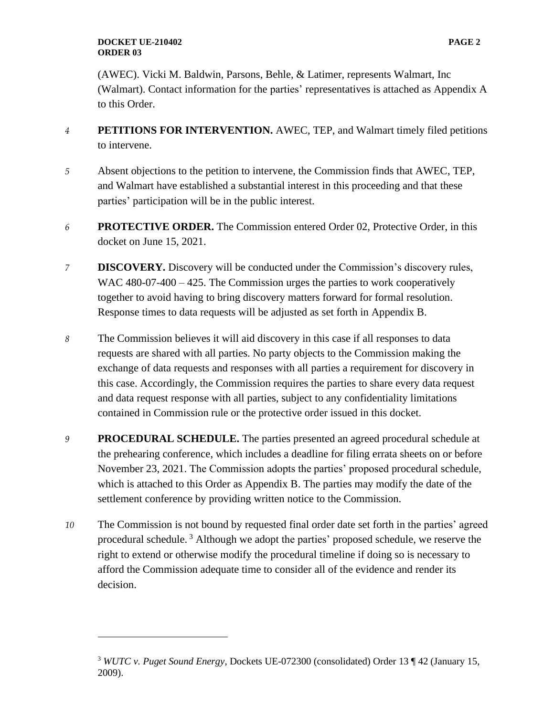#### **DOCKET UE-210402 PAGE 2 ORDER 03**

(AWEC). Vicki M. Baldwin, Parsons, Behle, & Latimer, represents Walmart, Inc (Walmart). Contact information for the parties' representatives is attached as Appendix A to this Order.

- *4* **PETITIONS FOR INTERVENTION.** AWEC, TEP, and Walmart timely filed petitions to intervene.
- *5* Absent objections to the petition to intervene, the Commission finds that AWEC, TEP, and Walmart have established a substantial interest in this proceeding and that these parties' participation will be in the public interest.
- *6* **PROTECTIVE ORDER.** The Commission entered Order 02, Protective Order, in this docket on June 15, 2021.
- *7* **DISCOVERY.** Discovery will be conducted under the Commission's discovery rules, WAC 480-07-400 – 425. The Commission urges the parties to work cooperatively together to avoid having to bring discovery matters forward for formal resolution. Response times to data requests will be adjusted as set forth in Appendix B.
- *8* The Commission believes it will aid discovery in this case if all responses to data requests are shared with all parties. No party objects to the Commission making the exchange of data requests and responses with all parties a requirement for discovery in this case. Accordingly, the Commission requires the parties to share every data request and data request response with all parties, subject to any confidentiality limitations contained in Commission rule or the protective order issued in this docket.
- *9* **PROCEDURAL SCHEDULE.** The parties presented an agreed procedural schedule at the prehearing conference, which includes a deadline for filing errata sheets on or before November 23, 2021. The Commission adopts the parties' proposed procedural schedule, which is attached to this Order as Appendix B. The parties may modify the date of the settlement conference by providing written notice to the Commission.
- *10* The Commission is not bound by requested final order date set forth in the parties' agreed procedural schedule.<sup>3</sup> Although we adopt the parties' proposed schedule, we reserve the right to extend or otherwise modify the procedural timeline if doing so is necessary to afford the Commission adequate time to consider all of the evidence and render its decision.

<sup>3</sup> *WUTC v. Puget Sound Energy*, Dockets UE-072300 (consolidated) Order 13 ¶ 42 (January 15, 2009).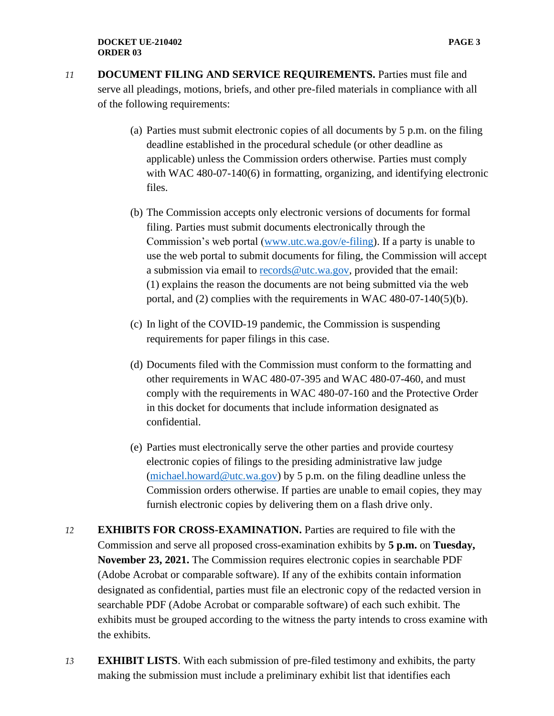- *11* **DOCUMENT FILING AND SERVICE REQUIREMENTS.** Parties must file and serve all pleadings, motions, briefs, and other pre-filed materials in compliance with all of the following requirements:
	- (a) Parties must submit electronic copies of all documents by 5 p.m. on the filing deadline established in the procedural schedule (or other deadline as applicable) unless the Commission orders otherwise. Parties must comply with WAC 480-07-140(6) in formatting, organizing, and identifying electronic files.
	- (b) The Commission accepts only electronic versions of documents for formal filing. Parties must submit documents electronically through the Commission's web portal [\(www.utc.wa.gov/e-filing\)](http://www.utc.wa.gov/e-filing). If a party is unable to use the web portal to submit documents for filing, the Commission will accept a submission via email to [records@utc.wa.gov,](mailto:records@utc.wa.gov) provided that the email: (1) explains the reason the documents are not being submitted via the web portal, and (2) complies with the requirements in WAC 480-07-140(5)(b).
	- (c) In light of the COVID-19 pandemic, the Commission is suspending requirements for paper filings in this case.
	- (d) Documents filed with the Commission must conform to the formatting and other requirements in WAC 480-07-395 and WAC 480-07-460, and must comply with the requirements in WAC 480-07-160 and the Protective Order in this docket for documents that include information designated as confidential.
	- (e) Parties must electronically serve the other parties and provide courtesy electronic copies of filings to the presiding administrative law judge [\(michael.howard@utc.wa.gov\)](mailto:michael.howard@utc.wa.gov) by 5 p.m. on the filing deadline unless the Commission orders otherwise. If parties are unable to email copies, they may furnish electronic copies by delivering them on a flash drive only.
- *12* **EXHIBITS FOR CROSS-EXAMINATION.** Parties are required to file with the Commission and serve all proposed cross-examination exhibits by **5 p.m.** on **Tuesday, November 23, 2021.** The Commission requires electronic copies in searchable PDF (Adobe Acrobat or comparable software). If any of the exhibits contain information designated as confidential, parties must file an electronic copy of the redacted version in searchable PDF (Adobe Acrobat or comparable software) of each such exhibit. The exhibits must be grouped according to the witness the party intends to cross examine with the exhibits.
- *13* **EXHIBIT LISTS**. With each submission of pre-filed testimony and exhibits, the party making the submission must include a preliminary exhibit list that identifies each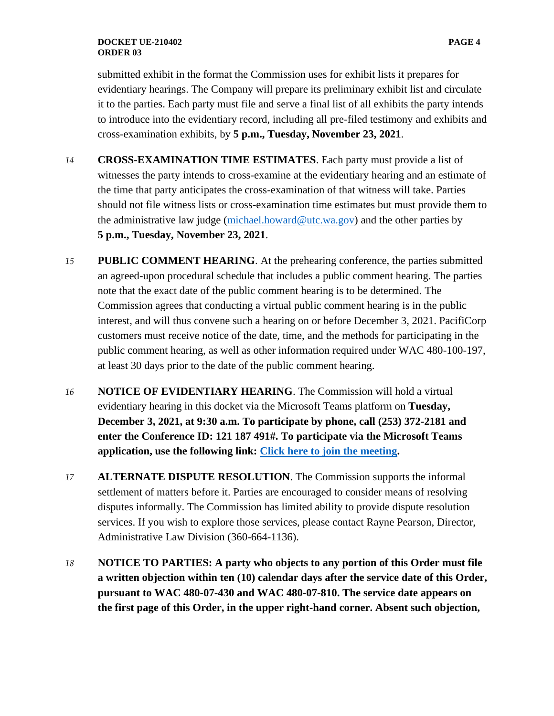#### **DOCKET UE-210402 PAGE 4 ORDER 03**

submitted exhibit in the format the Commission uses for exhibit lists it prepares for evidentiary hearings. The Company will prepare its preliminary exhibit list and circulate it to the parties. Each party must file and serve a final list of all exhibits the party intends to introduce into the evidentiary record, including all pre-filed testimony and exhibits and cross-examination exhibits, by **5 p.m., Tuesday, November 23, 2021**.

- *14* **CROSS-EXAMINATION TIME ESTIMATES**. Each party must provide a list of witnesses the party intends to cross-examine at the evidentiary hearing and an estimate of the time that party anticipates the cross-examination of that witness will take. Parties should not file witness lists or cross-examination time estimates but must provide them to the administrative law judge (michael.howard@utc.wa.gov) and the other parties by **5 p.m., Tuesday, November 23, 2021**.
- *15* **PUBLIC COMMENT HEARING**. At the prehearing conference, the parties submitted an agreed-upon procedural schedule that includes a public comment hearing. The parties note that the exact date of the public comment hearing is to be determined. The Commission agrees that conducting a virtual public comment hearing is in the public interest, and will thus convene such a hearing on or before December 3, 2021. PacifiCorp customers must receive notice of the date, time, and the methods for participating in the public comment hearing, as well as other information required under WAC 480-100-197, at least 30 days prior to the date of the public comment hearing.
- *16* **NOTICE OF EVIDENTIARY HEARING**. The Commission will hold a virtual evidentiary hearing in this docket via the Microsoft Teams platform on **Tuesday, December 3, 2021, at 9:30 a.m. To participate by phone, call (253) 372-2181 and enter the Conference ID: 121 187 491#. To participate via the Microsoft Teams application, use the following link: [Click here to join the meeting.](https://teams.microsoft.com/l/meetup-join/19%3ameeting_ODlkY2NlYTUtMDNkZi00ZTFlLThhYmYtYjBhZTk4YTYzMTdh%40thread.v2/0?context=%7b%22Tid%22%3a%2211d0e217-264e-400a-8ba0-57dcc127d72d%22%2c%22Oid%22%3a%22e087eca4-4cd8-416f-8fc0-53ed60dbc833%22%7d)**
- *17* **ALTERNATE DISPUTE RESOLUTION**. The Commission supports the informal settlement of matters before it. Parties are encouraged to consider means of resolving disputes informally. The Commission has limited ability to provide dispute resolution services. If you wish to explore those services, please contact Rayne Pearson, Director, Administrative Law Division (360-664-1136).
- *18* **NOTICE TO PARTIES: A party who objects to any portion of this Order must file a written objection within ten (10) calendar days after the service date of this Order, pursuant to WAC 480-07-430 and WAC 480-07-810. The service date appears on the first page of this Order, in the upper right-hand corner. Absent such objection,**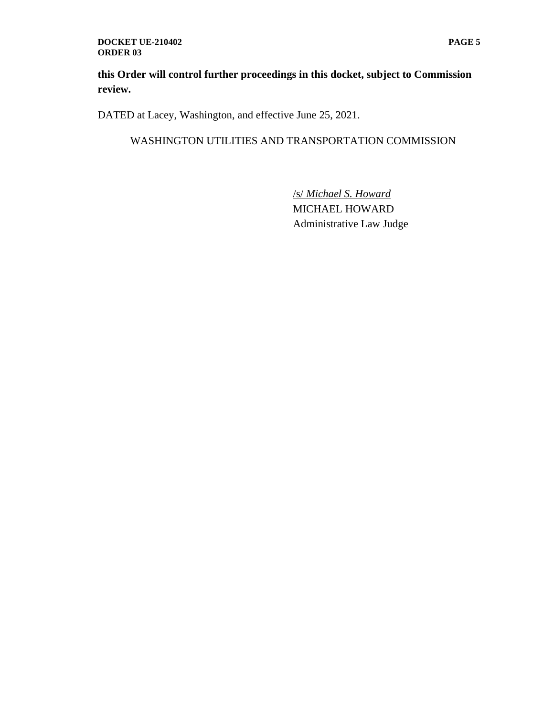#### **DOCKET UE-210402 PAGE 5 ORDER 03**

**this Order will control further proceedings in this docket, subject to Commission review.**

DATED at Lacey, Washington, and effective June 25, 2021.

### WASHINGTON UTILITIES AND TRANSPORTATION COMMISSION

/s/ *Michael S. Howard* MICHAEL HOWARD Administrative Law Judge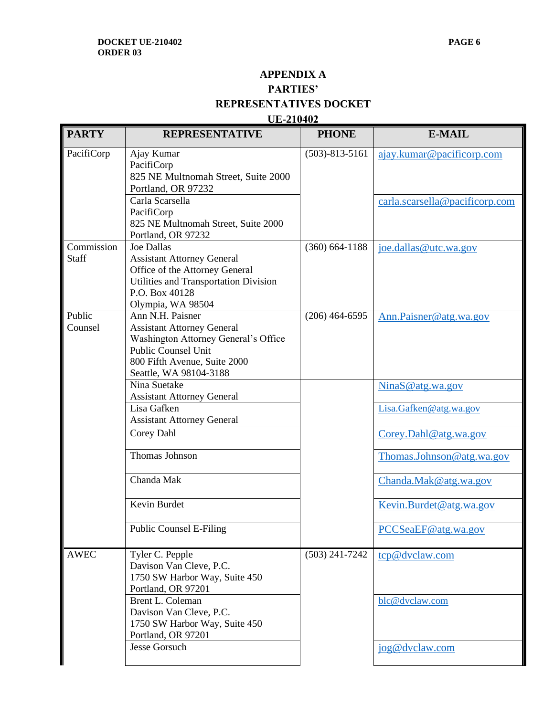# **APPENDIX A PARTIES' REPRESENTATIVES DOCKET**

### **UE-210402**

| <b>PARTY</b>               | <b>REPRESENTATIVE</b>                                                                                                                                                                 | <b>PHONE</b>         | <b>E-MAIL</b>                  |
|----------------------------|---------------------------------------------------------------------------------------------------------------------------------------------------------------------------------------|----------------------|--------------------------------|
| PacifiCorp                 | Ajay Kumar<br>PacifiCorp<br>825 NE Multnomah Street, Suite 2000<br>Portland, OR 97232                                                                                                 | $(503) - 813 - 5161$ | ajay.kumar@pacificorp.com      |
|                            | Carla Scarsella<br>PacifiCorp<br>825 NE Multnomah Street, Suite 2000<br>Portland, OR 97232                                                                                            |                      | carla.scarsella@pacificorp.com |
| Commission<br><b>Staff</b> | <b>Joe Dallas</b><br><b>Assistant Attorney General</b><br>Office of the Attorney General<br>Utilities and Transportation Division<br>P.O. Box 40128<br>Olympia, WA 98504              | $(360) 664 - 1188$   | joe.dallas@utc.wa.gov          |
| Public<br>Counsel          | Ann N.H. Paisner<br><b>Assistant Attorney General</b><br>Washington Attorney General's Office<br><b>Public Counsel Unit</b><br>800 Fifth Avenue, Suite 2000<br>Seattle, WA 98104-3188 | $(206)$ 464-6595     | Ann.Paisner@atg.wa.gov         |
|                            | Nina Suetake<br><b>Assistant Attorney General</b>                                                                                                                                     |                      | NinaS@atg.wa.gov               |
|                            | Lisa Gafken<br><b>Assistant Attorney General</b>                                                                                                                                      |                      | Lisa.Gafken@atg.wa.gov         |
|                            | Corey Dahl                                                                                                                                                                            |                      | Corey.Dahl@atg.wa.gov          |
|                            | Thomas Johnson                                                                                                                                                                        |                      | Thomas.Johnson@atg.wa.gov      |
|                            | Chanda Mak                                                                                                                                                                            |                      | Chanda.Mak@atg.wa.gov          |
|                            | Kevin Burdet                                                                                                                                                                          |                      | Kevin.Burdet@atg.wa.gov        |
|                            | <b>Public Counsel E-Filing</b>                                                                                                                                                        |                      | PCCSeaEF@atg.wa.gov            |
| <b>AWEC</b>                | Tyler C. Pepple<br>Davison Van Cleve, P.C.<br>1750 SW Harbor Way, Suite 450<br>Portland, OR 97201                                                                                     | $(503)$ 241-7242     | tcp@dvclaw.com                 |
|                            | Brent L. Coleman<br>Davison Van Cleve, P.C.<br>1750 SW Harbor Way, Suite 450<br>Portland, OR 97201                                                                                    |                      | blc@dvclaw.com                 |
|                            | Jesse Gorsuch                                                                                                                                                                         |                      | jog@dvclaw.com                 |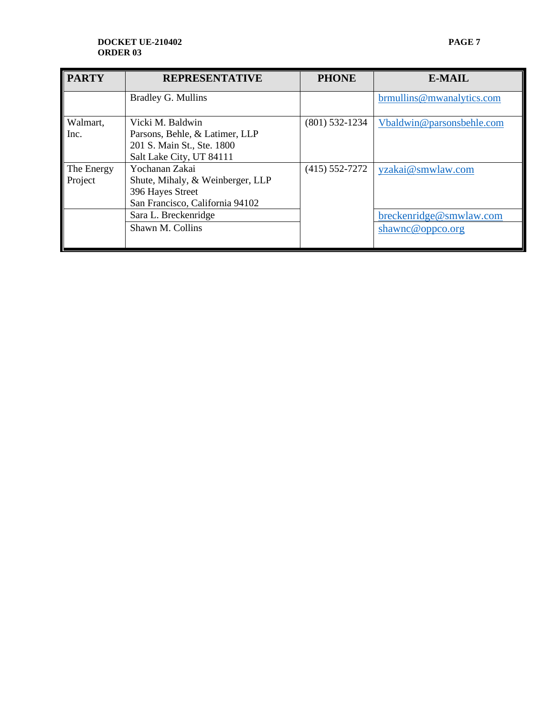#### **DOCKET UE-210402 PAGE 7 ORDER 03**

| <b>PARTY</b>          | <b>REPRESENTATIVE</b>                                                                                        | <b>PHONE</b>       | <b>E-MAIL</b>                               |
|-----------------------|--------------------------------------------------------------------------------------------------------------|--------------------|---------------------------------------------|
|                       | Bradley G. Mullins                                                                                           |                    | brmullins@mwanalytics.com                   |
| Walmart,<br>Inc.      | Vicki M. Baldwin<br>Parsons, Behle, & Latimer, LLP<br>201 S. Main St., Ste. 1800<br>Salt Lake City, UT 84111 | $(801)$ 532-1234   | Vbaldwin@parsonsbehle.com                   |
| The Energy<br>Project | Yochanan Zakai<br>Shute, Mihaly, & Weinberger, LLP<br>396 Hayes Street<br>San Francisco, California 94102    | $(415) 552 - 7272$ | yzakai@smwlaw.com                           |
|                       | Sara L. Breckenridge<br>Shawn M. Collins                                                                     |                    | breckenridge@smwlaw.com<br>shawnc@oppco.org |